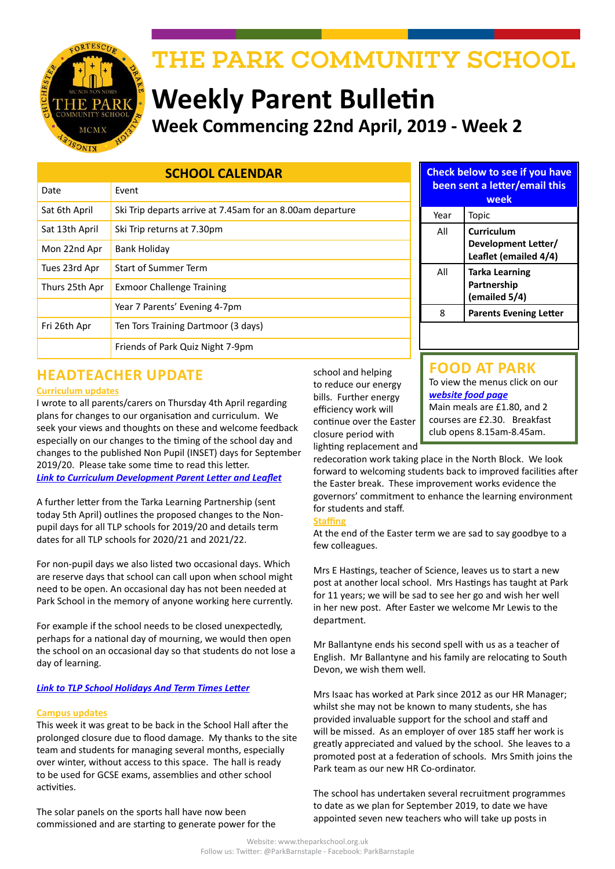

# THE PARK COMMUNITY SCHOOL

# **Weekly Parent Bulletin Week Commencing 22nd April, 2019 - Week 2**

### **SCHOOL CALENDAR**

| Date           | Event                                                     |  |  |  |  |  |
|----------------|-----------------------------------------------------------|--|--|--|--|--|
| Sat 6th April  | Ski Trip departs arrive at 7.45am for an 8.00am departure |  |  |  |  |  |
| Sat 13th April | Ski Trip returns at 7.30pm                                |  |  |  |  |  |
| Mon 22nd Apr   | Bank Holiday                                              |  |  |  |  |  |
| Tues 23rd Apr  | <b>Start of Summer Term</b>                               |  |  |  |  |  |
| Thurs 25th Apr | <b>Exmoor Challenge Training</b>                          |  |  |  |  |  |
|                | Year 7 Parents' Evening 4-7pm                             |  |  |  |  |  |
| Fri 26th Apr   | Ten Tors Training Dartmoor (3 days)                       |  |  |  |  |  |
|                | Friends of Park Quiz Night 7-9pm                          |  |  |  |  |  |

# **HEADTEACHER UPDATE**

#### **Curriculum updates**

I wrote to all parents/carers on Thursday 4th April regarding plans for changes to our organisation and curriculum. We seek your views and thoughts on these and welcome feedback especially on our changes to the timing of the school day and changes to the published Non Pupil (INSET) days for September 2019/20. Please take some time to read this letter. *[Link to Curriculum Development Parent Letter and Leaflet](http://www.theparkschool.org.uk/sites/default/files/Curriculum-Development-2019-Parent-Letter-Leaflet.pdf)*

A further letter from the Tarka Learning Partnership (sent today 5th April) outlines the proposed changes to the Nonpupil days for all TLP schools for 2019/20 and details term dates for all TLP schools for 2020/21 and 2021/22.

For non-pupil days we also listed two occasional days. Which are reserve days that school can call upon when school might need to be open. An occasional day has not been needed at Park School in the memory of anyone working here currently.

For example if the school needs to be closed unexpectedly, perhaps for a national day of mourning, we would then open the school on an occasional day so that students do not lose a day of learning.

#### *[Link to TLP School Holidays And Term Times Letter](http://www.theparkschool.org.uk/sites/default/files/TLP-school-holidays-and-term-times.pdf)*

#### **Campus updates**

This week it was great to be back in the School Hall after the prolonged closure due to flood damage. My thanks to the site team and students for managing several months, especially over winter, without access to this space. The hall is ready to be used for GCSE exams, assemblies and other school activities.

The solar panels on the sports hall have now been commissioned and are starting to generate power for the school and helping to reduce our energy bills. Further energy efficiency work will continue over the Easter closure period with lighting replacement and

## **been sent a letter/email this week**

**Check below to see if you have** 

| Year | Topic                                                      |
|------|------------------------------------------------------------|
| ΑII  | Curriculum<br>Development Letter/<br>Leaflet (emailed 4/4) |
| ΑIΙ  | <b>Tarka Learning</b><br>Partnership<br>(emailed 5/4)      |
| ጸ    | <b>Parents Evening Letter</b>                              |

# **FOOD AT PARK**

To view the menus click on our *[website food page](http://www.theparkschool.org.uk/food-park)* Main meals are £1.80, and 2 courses are £2.30. Breakfast club opens 8.15am-8.45am.

redecoration work taking place in the North Block. We look forward to welcoming students back to improved facilities after the Easter break. These improvement works evidence the governors' commitment to enhance the learning environment for students and staff.

#### **Staffing**

At the end of the Easter term we are sad to say goodbye to a few colleagues.

Mrs E Hastings, teacher of Science, leaves us to start a new post at another local school. Mrs Hastings has taught at Park for 11 years; we will be sad to see her go and wish her well in her new post. After Easter we welcome Mr Lewis to the department.

Mr Ballantyne ends his second spell with us as a teacher of English. Mr Ballantyne and his family are relocating to South Devon, we wish them well.

Mrs Isaac has worked at Park since 2012 as our HR Manager; whilst she may not be known to many students, she has provided invaluable support for the school and staff and will be missed. As an employer of over 185 staff her work is greatly appreciated and valued by the school. She leaves to a promoted post at a federation of schools. Mrs Smith joins the Park team as our new HR Co-ordinator.

The school has undertaken several recruitment programmes to date as we plan for September 2019, to date we have appointed seven new teachers who will take up posts in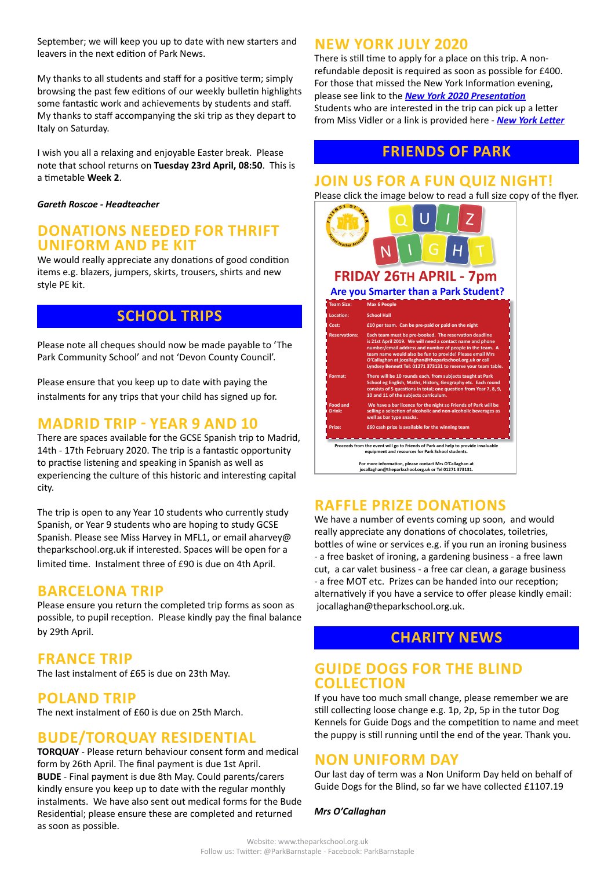September; we will keep you up to date with new starters and leavers in the next edition of Park News.

My thanks to all students and staff for a positive term; simply browsing the past few editions of our weekly bulletin highlights some fantastic work and achievements by students and staff. My thanks to staff accompanying the ski trip as they depart to Italy on Saturday.

I wish you all a relaxing and enjoyable Easter break. Please note that school returns on **Tuesday 23rd April, 08:50**. This is a timetable **Week 2**.

#### *Gareth Roscoe - Headteacher*

### **DONATIONS NEEDED FOR THRIFT UNIFORM AND PE KIT**

We would really appreciate any donations of good condition items e.g. blazers, jumpers, skirts, trousers, shirts and new style PE kit.

# **SCHOOL TRIPS**

Please note all cheques should now be made payable to 'The Park Community School' and not 'Devon County Council'.

Please ensure that you keep up to date with paying the instalments for any trips that your child has signed up for.

# **MADRID TRIP - YEAR 9 AND 10**

There are spaces available for the GCSE Spanish trip to Madrid, 14th - 17th February 2020. The trip is a fantastic opportunity to practise listening and speaking in Spanish as well as experiencing the culture of this historic and interesting capital city.

The trip is open to any Year 10 students who currently study Spanish, or Year 9 students who are hoping to study GCSE Spanish. Please see Miss Harvey in MFL1, or email aharvey@ theparkschool.org.uk if interested. Spaces will be open for a limited time. Instalment three of £90 is due on 4th April.

### **BARCELONA TRIP**

Please ensure you return the completed trip forms as soon as possible, to pupil reception. Please kindly pay the final balance by 29th April.

## **FRANCE TRIP**

The last instalment of £65 is due on 23th May.

## **POLAND TRIP**

The next instalment of £60 is due on 25th March.

# **BUDE/TORQUAY RESIDENTIAL**

**TORQUAY** - Please return behaviour consent form and medical form by 26th April. The final payment is due 1st April. **BUDE** - Final payment is due 8th May. Could parents/carers kindly ensure you keep up to date with the regular monthly instalments. We have also sent out medical forms for the Bude Residential; please ensure these are completed and returned as soon as possible.

## **NEW YORK JULY 2020**

There is still time to apply for a place on this trip. A nonrefundable deposit is required as soon as possible for £400. For those that missed the New York Information evening, please see link to the *[New York 2020 Presentation](http://www.theparkschool.org.uk/sites/default/files/NewYorkMeetingPowerPoint-July2020.pdf)* Students who are interested in the trip can pick up a letter from Miss Vidler or a link is provided here - *[New York Letter](http://www.theparkschool.org.uk/sites/default/files/Payment%20Plan%20and%20Itinerary%20letter%202020.pdf)*

# **FRIENDS OF PARK**

### **JOIN US FOR A FUN QUIZ NIGHT!**



# **RAFFLE PRIZE DONATIONS**

We have a number of events coming up soon, and would really appreciate any donations of chocolates, toiletries, bottles of wine or services e.g. if you run an ironing business - a free basket of ironing, a gardening business - a free lawn cut, a car valet business - a free car clean, a garage business - a free MOT etc. Prizes can be handed into our reception; alternatively if you have a service to offer please kindly email: jocallaghan@theparkschool.org.uk.

# **CHARITY NEWS**

## **GUIDE DOGS FOR THE BLIND COLLECTION**

If you have too much small change, please remember we are still collecting loose change e.g. 1p, 2p, 5p in the tutor Dog Kennels for Guide Dogs and the competition to name and meet the puppy is still running until the end of the year. Thank you.

# **NON UNIFORM DAY**

Our last day of term was a Non Uniform Day held on behalf of Guide Dogs for the Blind, so far we have collected £1107.19

#### *Mrs O'Callaghan*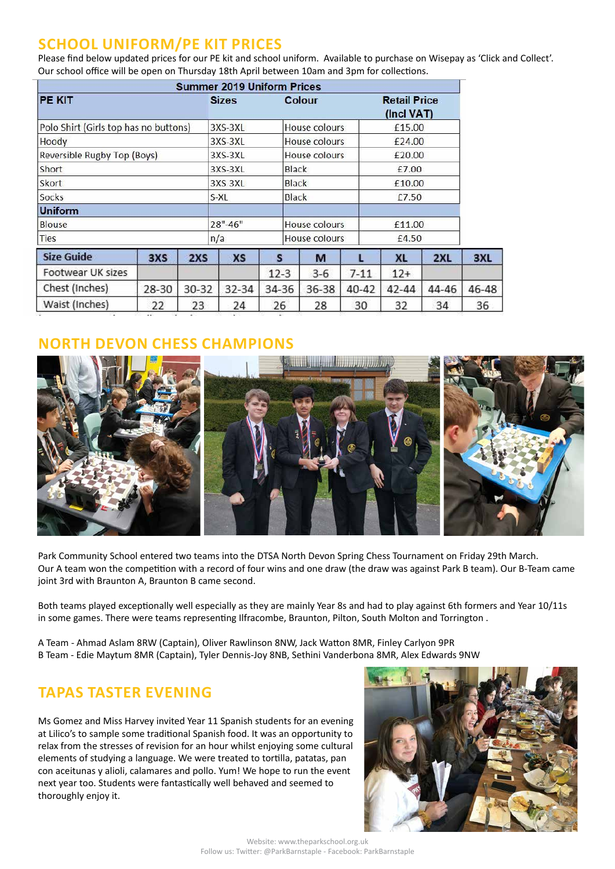# **SCHOOL UNIFORM/PE KIT PRICES**

Please find below updated prices for our PE kit and school uniform. Available to purchase on Wisepay as 'Click and Collect'. Our school office will be open on Thursday 18th April between 10am and 3pm for collections.

|                                       |       |       | <b>Summer 2019 Uniform Prices</b> |        |                      |                                   |           |       |       |
|---------------------------------------|-------|-------|-----------------------------------|--------|----------------------|-----------------------------------|-----------|-------|-------|
| <b>PE KIT</b>                         |       |       | <b>Sizes</b><br>Colour            |        |                      | <b>Retail Price</b><br>(Incl VAT) |           |       |       |
| Polo Shirt (Girls top has no buttons) |       |       | 3XS-3XL                           |        | House colours        |                                   | £15,00    |       |       |
| Hoody                                 |       |       | 3XS-3XL                           |        | House colours        |                                   | £24.00    |       |       |
| Reversible Rugby Top (Boys)           |       |       | $3XS-3XL$                         |        | House colours        |                                   | £20.00    |       |       |
| Short                                 |       |       | 3XS-3XL                           |        | Black                |                                   | £7.00     |       |       |
| Skort                                 |       |       | 3XS 3XL                           |        | <b>Black</b>         |                                   | £10.00    |       |       |
| Socks                                 |       |       | S-XL                              |        | <b>Black</b>         |                                   | C7.50     |       |       |
| <b>Uniform</b>                        |       |       |                                   |        |                      |                                   |           |       |       |
| <b>Blouse</b>                         |       |       | $28" - 46"$                       |        | House colours        |                                   | £11.00    |       |       |
| <b>Ties</b>                           |       |       | n/a                               |        | <b>House colours</b> |                                   | £4.50     |       |       |
| <b>Size Guide</b>                     | 3XS   | 2XS   | <b>XS</b>                         | s      | м                    |                                   | <b>XL</b> | 2XL   | 3XL   |
| Footwear UK sizes                     |       |       |                                   | $12-3$ | $3-6$                | $7 - 11$                          | $12+$     |       |       |
| Chest (Inches)                        | 28-30 | 30-32 | 32-34                             | 34-36  | 36-38                | 40-42                             | 42-44     | 44-46 | 46-48 |
| Waist (Inches)                        | 22    | 23    | 24                                | 26     | 28                   | 30                                | 32        | 34    | 36    |

# **CHESS CHAMPIONS**



Park Community School entered two teams into the DTSA North Devon Spring Chess Tournament on Friday 29th March. Our A team won the competition with a record of four wins and one draw (the draw was against Park B team). Our B-Team came joint 3rd with Braunton A, Braunton B came second.

Both teams played exceptionally well especially as they are mainly Year 8s and had to play against 6th formers and Year 10/11s in some games. There were teams representing Ilfracombe, Braunton, Pilton, South Molton and Torrington .

A Team - Ahmad Aslam 8RW (Captain), Oliver Rawlinson 8NW, Jack Watton 8MR, Finley Carlyon 9PR B Team - Edie Maytum 8MR (Captain), Tyler Dennis-Joy 8NB, Sethini Vanderbona 8MR, Alex Edwards 9NW

# **TAPAS TASTER EVENING**

Ms Gomez and Miss Harvey invited Year 11 Spanish students for an evening at Lilico's to sample some traditional Spanish food. It was an opportunity to relax from the stresses of revision for an hour whilst enjoying some cultural elements of studying a language. We were treated to tortilla, patatas, pan con aceitunas y alioli, calamares and pollo. Yum! We hope to run the event next year too. Students were fantastically well behaved and seemed to thoroughly enjoy it.

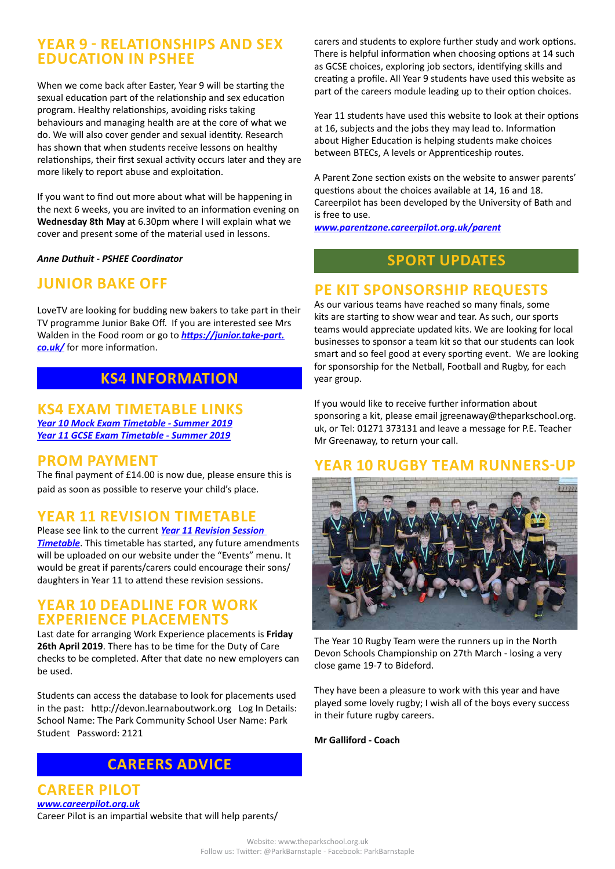# **YEAR 9 - RELATIONSHIPS AND SEX EDUCATION IN PSHEE**

When we come back after Easter, Year 9 will be starting the sexual education part of the relationship and sex education program. Healthy relationships, avoiding risks taking behaviours and managing health are at the core of what we do. We will also cover gender and sexual identity. Research has shown that when students receive lessons on healthy relationships, their first sexual activity occurs later and they are more likely to report abuse and exploitation.

If you want to find out more about what will be happening in the next 6 weeks, you are invited to an information evening on **Wednesday 8th May** at 6.30pm where I will explain what we cover and present some of the material used in lessons.

*Anne Duthuit - PSHEE Coordinator*

# **JUNIOR BAKE OFF**

LoveTV are looking for budding new bakers to take part in their TV programme Junior Bake Off. If you are interested see Mrs Walden in the Food room or go to *[https://junior.take-part.](https://junior.take-part.co.uk/) [co.uk/](https://junior.take-part.co.uk/)* for more information.

# **KS4 INFORMATION**

**KS4 EXAM TIMETABLE LINKS** *[Year 10 Mock Exam Timetable - Summer 2019](http://www.theparkschool.org.uk/sites/default/files/Year10_Student_Timetable2019.pdf) [Year 11 GCSE Exam Timetable - Summer 2019](http://www.theparkschool.org.uk/sites/default/files/GCSE_Student_Timetable2019.pdf)*

## **PROM PAYMENT**

The final payment of £14.00 is now due, please ensure this is paid as soon as possible to reserve your child's place.

# **YEAR 11 REVISION TIMETABLE**

Please see link to the current *[Year 11 Revision Session](https://docs.google.com/document/d/1dNMh7-L1kyihGF64pufxK6rpksF0LmhP7VMcilHf7oM/edit?usp=sharing)  [Timetable](https://docs.google.com/document/d/1dNMh7-L1kyihGF64pufxK6rpksF0LmhP7VMcilHf7oM/edit?usp=sharing)*. This timetable has started, any future amendments will be uploaded on our website under the "Events" menu. It would be great if parents/carers could encourage their sons/ daughters in Year 11 to attend these revision sessions.

### **YEAR 10 DEADLINE FOR WORK EXPERIENCE PLACEMENTS**

Last date for arranging Work Experience placements is **Friday 26th April 2019**. There has to be time for the Duty of Care checks to be completed. After that date no new employers can be used.

Students can access the database to look for placements used in the past: http://devon.learnaboutwork.org Log In Details: School Name: The Park Community School User Name: Park Student Password: 2121

# **CAREERS ADVICE**

**CAREER PILOT** *[www.careerpilot.org.uk](http://www.careerpilot.org.uk)* Career Pilot is an impartial website that will help parents/ carers and students to explore further study and work options. There is helpful information when choosing options at 14 such as GCSE choices, exploring job sectors, identifying skills and creating a profile. All Year 9 students have used this website as part of the careers module leading up to their option choices.

Year 11 students have used this website to look at their options at 16, subjects and the jobs they may lead to. Information about Higher Education is helping students make choices between BTECs, A levels or Apprenticeship routes.

A Parent Zone section exists on the website to answer parents' questions about the choices available at 14, 16 and 18. Careerpilot has been developed by the University of Bath and is free to use.

*[www.parentzone.careerpilot.org.uk/parent](http://www.parentzone.careerpilot.org.uk/parent)*

# **SPORT UPDATES**

# **PE KIT SPONSORSHIP REQUESTS**

As our various teams have reached so many finals, some kits are starting to show wear and tear. As such, our sports teams would appreciate updated kits. We are looking for local businesses to sponsor a team kit so that our students can look smart and so feel good at every sporting event. We are looking for sponsorship for the Netball, Football and Rugby, for each year group.

If you would like to receive further information about sponsoring a kit, please email jgreenaway@theparkschool.org. uk, or Tel: 01271 373131 and leave a message for P.E. Teacher Mr Greenaway, to return your call.

## **YEAR 10 RUGBY TEAM RUNNERS-UP**



The Year 10 Rugby Team were the runners up in the North Devon Schools Championship on 27th March - losing a very close game 19-7 to Bideford.

They have been a pleasure to work with this year and have played some lovely rugby; I wish all of the boys every success in their future rugby careers.

**Mr Galliford - Coach**